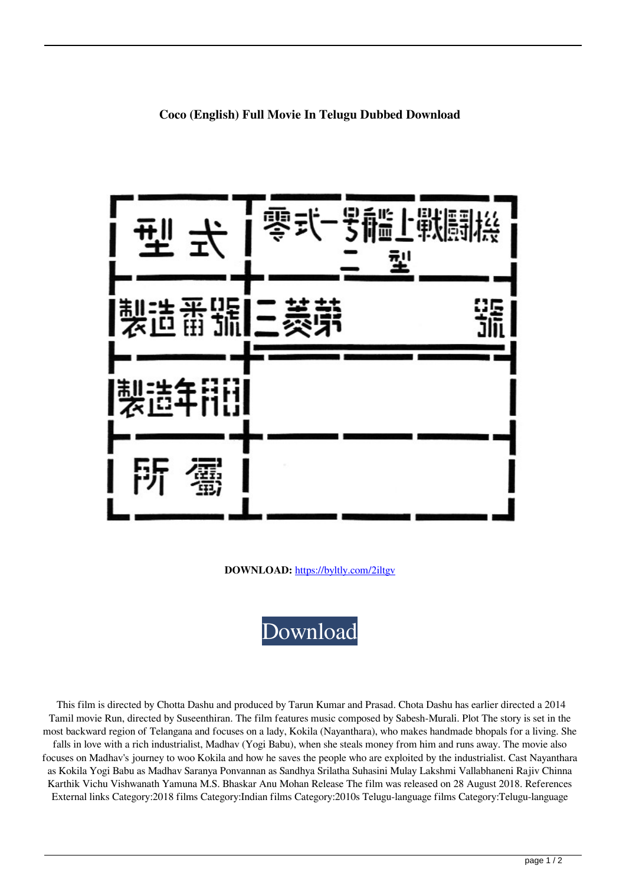

**DOWNLOAD:** <https://byltly.com/2iltgv>



 This film is directed by Chotta Dashu and produced by Tarun Kumar and Prasad. Chota Dashu has earlier directed a 2014 Tamil movie Run, directed by Suseenthiran. The film features music composed by Sabesh-Murali. Plot The story is set in the most backward region of Telangana and focuses on a lady, Kokila (Nayanthara), who makes handmade bhopals for a living. She falls in love with a rich industrialist, Madhav (Yogi Babu), when she steals money from him and runs away. The movie also focuses on Madhav's journey to woo Kokila and how he saves the people who are exploited by the industrialist. Cast Nayanthara as Kokila Yogi Babu as Madhav Saranya Ponvannan as Sandhya Srilatha Suhasini Mulay Lakshmi Vallabhaneni Rajiv Chinna Karthik Vichu Vishwanath Yamuna M.S. Bhaskar Anu Mohan Release The film was released on 28 August 2018. References External links Category:2018 films Category:Indian films Category:2010s Telugu-language films Category:Telugu-language